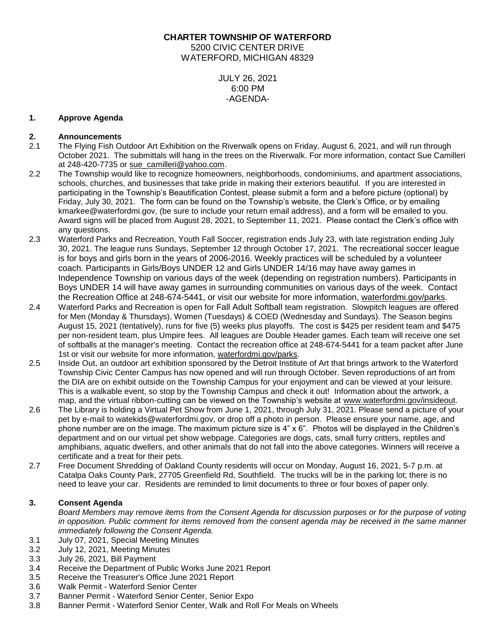**CHARTER TOWNSHIP OF WATERFORD** 5200 CIVIC CENTER DRIVE WATERFORD, MICHIGAN 48329

> JULY 26, 2021 6:00 PM -AGENDA-

## **1. Approve Agenda**

### **2. Announcements**

- 2.1 The Flying Fish Outdoor Art Exhibition on the Riverwalk opens on Friday, August 6, 2021, and will run through October 2021. The submittals will hang in the trees on the Riverwalk. For more information, contact Sue Camilleri at 248-420-7735 or [sue\\_camilleri@yahoo.com.](mailto:sue_camilleri@yahoo.com)
- 2.2 The Township would like to recognize homeowners, neighborhoods, condominiums, and apartment associations, schools, churches, and businesses that take pride in making their exteriors beautiful. If you are interested in participating in the Township's Beautification Contest, please submit a form and a before picture (optional) by Friday, July 30, 2021. The form can be found on the Township's website, the Clerk's Office, or by emailing kmarkee@waterfordmi.gov, (be sure to include your return email address), and a form will be emailed to you. Award signs will be placed from August 28, 2021, to September 11, 2021. Please contact the Clerk's office with any questions.
- 2.3 Waterford Parks and Recreation, Youth Fall Soccer, registration ends July 23, with late registration ending July 30, 2021. The league runs Sundays, September 12 through October 17, 2021. The recreational soccer league is for boys and girls born in the years of 2006-2016. Weekly practices will be scheduled by a volunteer coach. Participants in Girls/Boys UNDER 12 and Girls UNDER 14/16 may have away games in Independence Township on various days of the week (depending on registration numbers). Participants in Boys UNDER 14 will have away games in surrounding communities on various days of the week. Contact the Recreation Office at 248-674-5441, or visit our website for more information, [waterfordmi.gov/parks.](https://waterfordmi.gov/parks)
- 2.4 Waterford Parks and Recreation is open for Fall Adult Softball team registration. Slowpitch leagues are offered for Men (Monday & Thursdays), Women (Tuesdays) & COED (Wednesday and Sundays). The Season begins August 15, 2021 (tentatively), runs for five (5) weeks plus playoffs. The cost is \$425 per resident team and \$475 per non-resident team, plus Umpire fees. All leagues are Double Header games. Each team will receive one set of softballs at the manager's meeting. Contact the recreation office at 248-674-5441 for a team packet after June 1st or visit our website for more information, [waterfordmi.gov/parks.](https://waterfordmi.gov/parks)
- 2.5 Inside Out, an outdoor art exhibition sponsored by the Detroit Institute of Art that brings artwork to the Waterford Township Civic Center Campus has now opened and will run through October. Seven reproductions of art from the DIA are on exhibit outside on the Township Campus for your enjoyment and can be viewed at your leisure. This is a walkable event, so stop by the Township Campus and check it out! Information about the artwork, a map, and the virtual ribbon-cutting can be viewed on the Township's website at [www.waterfordmi.gov/insideout.](https://linkprotect.cudasvc.com/url?a=http:%2f%2fwww.waterfordmi.gov%2finsideout&c=E,1,tvhjSqicgnXjJDeeE1wB4u4UV2XTnFVQSHUbsczCjBxDcB0HBNtkQCRHQnCyEp6-Hjw-7PCwplnJN4FY_M9zLsTzzbSjHUP3M70A0F5E2-QDtP0WeJH-&typo=1)
- 2.6 The Library is holding a Virtual Pet Show from June 1, 2021, through July 31, 2021. Please send a picture of your pet by e-mail to watekids@waterfordmi.gov, or drop off a photo in person. Please ensure your name, age, and phone number are on the image. The maximum picture size is 4" x 6". Photos will be displayed in the Children's department and on our virtual pet show webpage. Categories are dogs, cats, small furry critters, reptiles and amphibians, aquatic dwellers, and other animals that do not fall into the above categories. Winners will receive a certificate and a treat for their pets.
- 2.7 Free Document Shredding of Oakland County residents will occur on Monday, August 16, 2021, 5-7 p.m. at Catalpa Oaks County Park, 27705 Greenfield Rd, Southfield. The trucks will be in the parking lot; there is no need to leave your car. Residents are reminded to limit documents to three or four boxes of paper only.

# **3. Consent Agenda**

*Board Members may remove items from the Consent Agenda for discussion purposes or for the purpose of voting in opposition. Public comment for items removed from the consent agenda may be received in the same manner immediately following the Consent Agenda.*

- 3.1 July 07, 2021, Special Meeting Minutes
- 3.2 July 12, 2021, Meeting Minutes
- 3.3 July 26, 2021, Bill Payment
- 3.4 Receive the Department of Public Works June 2021 Report
- 3.5 Receive the Treasurer's Office June 2021 Report
- 3.6 Walk Permit Waterford Senior Center
- 3.7 Banner Permit Waterford Senior Center, Senior Expo
- 3.8 Banner Permit Waterford Senior Center, Walk and Roll For Meals on Wheels